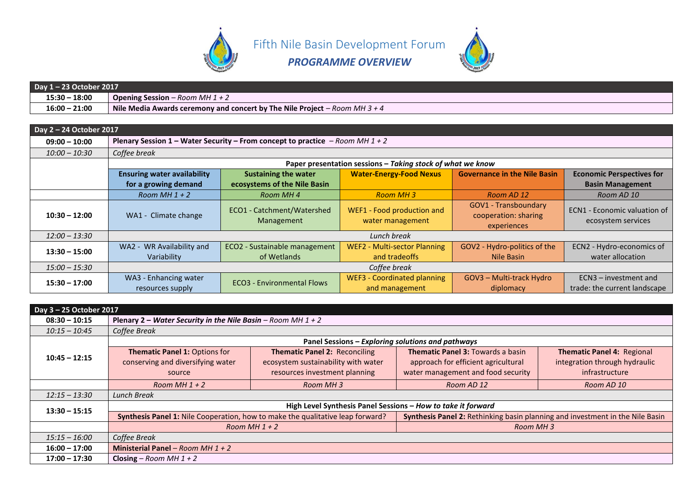

Fifth Nile Basin Development Forum



*PROGRAMME OVERVIEW*

| Day 1-23 October 2017 |                                                                            |  |  |
|-----------------------|----------------------------------------------------------------------------|--|--|
| $15:30 - 18:00$       | <b>Opening Session</b> – Room MH $1 + 2$                                   |  |  |
| $16:00 - 21:00$       | Nile Media Awards ceremony and concert by The Nile Project – Room MH 3 + 4 |  |  |

| Day 2 - 24 October 2017 |                                                                               |                                              |                                                            |                                                             |                                                           |  |  |  |
|-------------------------|-------------------------------------------------------------------------------|----------------------------------------------|------------------------------------------------------------|-------------------------------------------------------------|-----------------------------------------------------------|--|--|--|
| $09:00 - 10:00$         | Plenary Session 1 – Water Security – From concept to practice – Room MH 1 + 2 |                                              |                                                            |                                                             |                                                           |  |  |  |
| $10:00 - 10:30$         | Coffee break                                                                  |                                              |                                                            |                                                             |                                                           |  |  |  |
|                         |                                                                               |                                              | Paper presentation sessions - Taking stock of what we know |                                                             |                                                           |  |  |  |
|                         | <b>Ensuring water availability</b>                                            | <b>Sustaining the water</b>                  | <b>Water-Energy-Food Nexus</b>                             | <b>Governance in the Nile Basin</b>                         | <b>Economic Perspectives for</b>                          |  |  |  |
|                         | for a growing demand                                                          | ecosystems of the Nile Basin                 |                                                            |                                                             | <b>Basin Management</b>                                   |  |  |  |
|                         | Room MH $1 + 2$                                                               | Room MH 4                                    | Room MH 3                                                  | Room AD 12                                                  | Room AD 10                                                |  |  |  |
| $10:30 - 12:00$         | WA1 - Climate change                                                          | ECO1 - Catchment/Watershed<br>Management     | WEF1 - Food production and<br>water management             | GOV1 - Transboundary<br>cooperation: sharing<br>experiences | <b>ECN1 - Economic valuation of</b><br>ecosystem services |  |  |  |
| $12:00 - 13:30$         |                                                                               |                                              | Lunch break                                                |                                                             |                                                           |  |  |  |
| $13:30 - 15:00$         | WA2 - WR Availability and<br>Variability                                      | ECO2 - Sustainable management<br>of Wetlands | <b>WEF2 - Multi-sector Planning</b><br>and tradeoffs       | GOV2 - Hydro-politics of the<br>Nile Basin                  | ECN2 - Hydro-economics of<br>water allocation             |  |  |  |
| $15:00 - 15:30$         | Coffee break                                                                  |                                              |                                                            |                                                             |                                                           |  |  |  |
| $15:30 - 17:00$         | WA3 - Enhancing water<br>resources supply                                     | <b>ECO3</b> - Environmental Flows            | <b>WEF3 - Coordinated planning</b><br>and management       | GOV3 - Multi-track Hydro<br>diplomacy                       | ECN3 - investment and<br>trade: the current landscape     |  |  |  |

| Day 3 - 25 October 2017 |                                                                |                                                                                |                                                                               |                               |  |  |  |
|-------------------------|----------------------------------------------------------------|--------------------------------------------------------------------------------|-------------------------------------------------------------------------------|-------------------------------|--|--|--|
| $08:30 - 10:15$         | Plenary 2 – Water Security in the Nile Basin – Room MH $1 + 2$ |                                                                                |                                                                               |                               |  |  |  |
| $10:15 - 10:45$         | Coffee Break                                                   |                                                                                |                                                                               |                               |  |  |  |
|                         |                                                                | Panel Sessions - Exploring solutions and pathways                              |                                                                               |                               |  |  |  |
|                         | <b>Thematic Panel 1: Options for</b>                           | <b>Thematic Panel 2: Reconciling</b>                                           | <b>Thematic Panel 3: Towards a basin</b>                                      | Thematic Panel 4: Regional    |  |  |  |
| $10:45 - 12:15$         | conserving and diversifying water                              | ecosystem sustainability with water                                            | approach for efficient agricultural                                           | integration through hydraulic |  |  |  |
|                         | source                                                         | resources investment planning                                                  | water management and food security                                            | infrastructure                |  |  |  |
|                         | Room MH $1 + 2$                                                | Room MH3                                                                       | Room AD 12                                                                    | Room AD 10                    |  |  |  |
| $12:15 - 13:30$         | Lunch Break                                                    |                                                                                |                                                                               |                               |  |  |  |
| $13:30 - 15:15$         | High Level Synthesis Panel Sessions - How to take it forward   |                                                                                |                                                                               |                               |  |  |  |
|                         |                                                                | Synthesis Panel 1: Nile Cooperation, how to make the qualitative leap forward? | Synthesis Panel 2: Rethinking basin planning and investment in the Nile Basin |                               |  |  |  |
|                         |                                                                | Room MH $1 + 2$                                                                | Room MH 3                                                                     |                               |  |  |  |
| $15:15 - 16:00$         | Coffee Break                                                   |                                                                                |                                                                               |                               |  |  |  |
| $16:00 - 17:00$         | Ministerial Panel - Room MH $1 + 2$                            |                                                                                |                                                                               |                               |  |  |  |
| $17:00 - 17:30$         | Closing – Room MH $1 + 2$                                      |                                                                                |                                                                               |                               |  |  |  |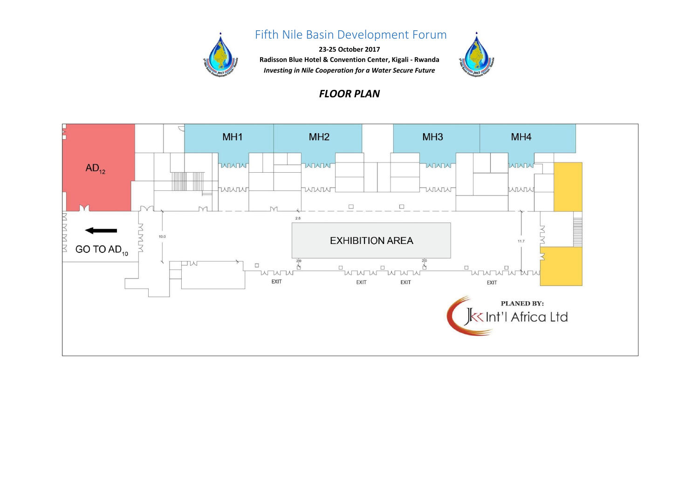

# **Fifth Nile Basin Development Forum**

**23-25 October 2017 Radisson Blue Hotel & Convention Center, Kigali - Rwanda** *Investing in Nile Cooperation for a Water Secure Future*



#### *FLOOR PLAN*

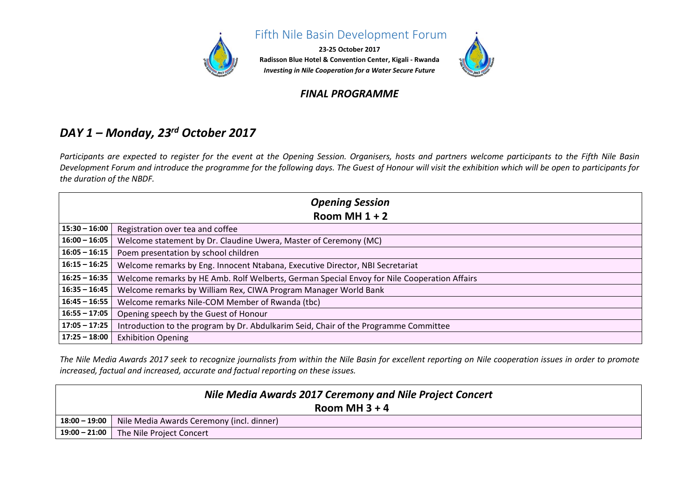

#### **Fifth Nile Basin Development Forum**

**23-25 October 2017 Radisson Blue Hotel & Convention Center, Kigali - Rwanda** *Investing in Nile Cooperation for a Water Secure Future*

# *FINAL PROGRAMME*

### *DAY 1 – Monday, 23rd October 2017*

*Participants are expected to register for the event at the Opening Session. Organisers, hosts and partners welcome participants to the Fifth Nile Basin Development Forum and introduce the programme for the following days. The Guest of Honour will visit the exhibition which will be open to participants for the duration of the NBDF.*

| <b>Opening Session</b> |                                                                                             |  |  |  |  |
|------------------------|---------------------------------------------------------------------------------------------|--|--|--|--|
|                        | Room MH $1 + 2$                                                                             |  |  |  |  |
| $15:30 - 16:00$        | Registration over tea and coffee                                                            |  |  |  |  |
| $16:00 - 16:05$        | Welcome statement by Dr. Claudine Uwera, Master of Ceremony (MC)                            |  |  |  |  |
| $16:05 - 16:15$        | Poem presentation by school children                                                        |  |  |  |  |
| $16:15 - 16:25$        | Welcome remarks by Eng. Innocent Ntabana, Executive Director, NBI Secretariat               |  |  |  |  |
| $16:25 - 16:35$        | Welcome remarks by HE Amb. Rolf Welberts, German Special Envoy for Nile Cooperation Affairs |  |  |  |  |
| $16:35 - 16:45$        | Welcome remarks by William Rex, CIWA Program Manager World Bank                             |  |  |  |  |
| $16:45 - 16:55$        | Welcome remarks Nile-COM Member of Rwanda (tbc)                                             |  |  |  |  |
| $16:55 - 17:05$        | Opening speech by the Guest of Honour                                                       |  |  |  |  |
| $17:05 - 17:25$        | Introduction to the program by Dr. Abdulkarim Seid, Chair of the Programme Committee        |  |  |  |  |
| $17:25 - 18:00$        | <b>Exhibition Opening</b>                                                                   |  |  |  |  |

*The Nile Media Awards 2017 seek to recognize journalists from within the Nile Basin for excellent reporting on Nile cooperation issues in order to promote increased, factual and increased, accurate and factual reporting on these issues.* 

| Nile Media Awards 2017 Ceremony and Nile Project Concert |                                                           |  |  |  |  |
|----------------------------------------------------------|-----------------------------------------------------------|--|--|--|--|
|                                                          | Room MH $3 + 4$                                           |  |  |  |  |
|                                                          | 18:00 - 19:00   Nile Media Awards Ceremony (incl. dinner) |  |  |  |  |
|                                                          | 19:00 - 21:00 The Nile Project Concert                    |  |  |  |  |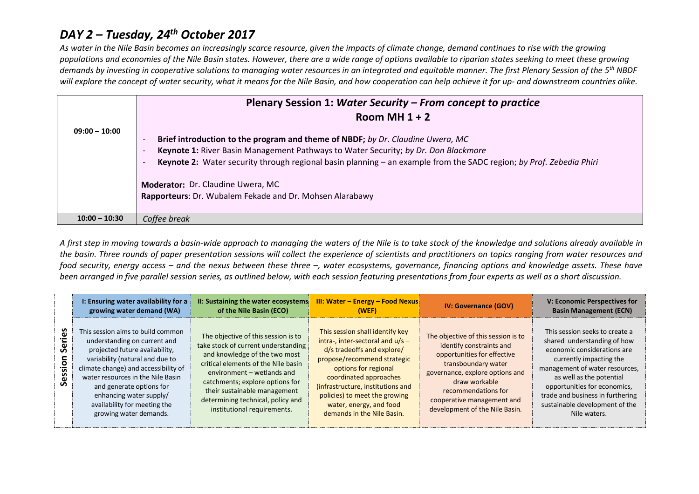### *DAY 2 – Tuesday, 24th October 2017*

*As water in the Nile Basin becomes an increasingly scarce resource, given the impacts of climate change, demand continues to rise with the growing populations and economies of the Nile Basin states. However, there are a wide range of options available to riparian states seeking to meet these growing demands by investing in cooperative solutions to managing water resources in an integrated and equitable manner. The first Plenary Session of the 5th NBDF will explore the concept of water security, what it means for the Nile Basin, and how cooperation can help achieve it for up- and downstream countries alike.*

|                 | Plenary Session 1: Water Security – From concept to practice                                                        |  |  |  |  |  |  |
|-----------------|---------------------------------------------------------------------------------------------------------------------|--|--|--|--|--|--|
|                 | Room MH $1 + 2$                                                                                                     |  |  |  |  |  |  |
| $09:00 - 10:00$ |                                                                                                                     |  |  |  |  |  |  |
|                 | Brief introduction to the program and theme of NBDF; by Dr. Claudine Uwera, MC                                      |  |  |  |  |  |  |
|                 | Keynote 1: River Basin Management Pathways to Water Security; by Dr. Don Blackmore                                  |  |  |  |  |  |  |
|                 | Keynote 2: Water security through regional basin planning - an example from the SADC region; by Prof. Zebedia Phiri |  |  |  |  |  |  |
|                 | Moderator: Dr. Claudine Uwera, MC                                                                                   |  |  |  |  |  |  |
|                 | Rapporteurs: Dr. Wubalem Fekade and Dr. Mohsen Alarabawy                                                            |  |  |  |  |  |  |
|                 |                                                                                                                     |  |  |  |  |  |  |
| $10:00 - 10:30$ | Coffee break                                                                                                        |  |  |  |  |  |  |

*A first step in moving towards a basin-wide approach to managing the waters of the Nile is to take stock of the knowledge and solutions already available in the basin. Three rounds of paper presentation sessions will collect the experience of scientists and practitioners on topics ranging from water resources and food security, energy access – and the nexus between these three –, water ecosystems, governance, financing options and knowledge assets. These have been arranged in five parallel session series, as outlined below, with each session featuring presentations from four experts as well as a short discussion.*

|                           | I: Ensuring water availability for a<br>growing water demand (WA)                                                                                                                                                                                                                                                                    | II: Sustaining the water ecosystems<br>of the Nile Basin (ECO)                                                                                                                                                                                                                                                          | <b>III: Water - Energy - Food Nexus</b><br>(WEF)                                                                                                                                                                                                                                                                    | <b>IV: Governance (GOV)</b>                                                                                                                                                                                                                                      | V: Economic Perspectives for<br><b>Basin Management (ECN)</b>                                                                                                                                                                                                                                               |
|---------------------------|--------------------------------------------------------------------------------------------------------------------------------------------------------------------------------------------------------------------------------------------------------------------------------------------------------------------------------------|-------------------------------------------------------------------------------------------------------------------------------------------------------------------------------------------------------------------------------------------------------------------------------------------------------------------------|---------------------------------------------------------------------------------------------------------------------------------------------------------------------------------------------------------------------------------------------------------------------------------------------------------------------|------------------------------------------------------------------------------------------------------------------------------------------------------------------------------------------------------------------------------------------------------------------|-------------------------------------------------------------------------------------------------------------------------------------------------------------------------------------------------------------------------------------------------------------------------------------------------------------|
| စိ<br>ج<br>Ser<br>Session | This session aims to build common<br>understanding on current and<br>projected future availability,<br>variability (natural and due to<br>climate change) and accessibility of<br>water resources in the Nile Basin<br>and generate options for<br>enhancing water supply/<br>availability for meeting the<br>growing water demands. | The objective of this session is to<br>take stock of current understanding<br>and knowledge of the two most<br>critical elements of the Nile basin<br>environment - wetlands and<br>catchments; explore options for<br>their sustainable management<br>determining technical, policy and<br>institutional requirements. | This session shall identify key<br>intra-, inter-sectoral and $u/s -$<br>d/s tradeoffs and explore/<br>propose/recommend strategic<br>options for regional<br>coordinated approaches<br>(infrastructure, institutions and<br>policies) to meet the growing<br>water, energy, and food<br>demands in the Nile Basin. | The objective of this session is to<br>identify constraints and<br>opportunities for effective<br>transboundary water<br>governance, explore options and<br>draw workable<br>recommendations for<br>cooperative management and<br>development of the Nile Basin. | This session seeks to create a<br>shared understanding of how<br>economic considerations are<br>currently impacting the<br>management of water resources,<br>as well as the potential<br>opportunities for economics,<br>trade and business in furthering<br>sustainable development of the<br>Nile waters. |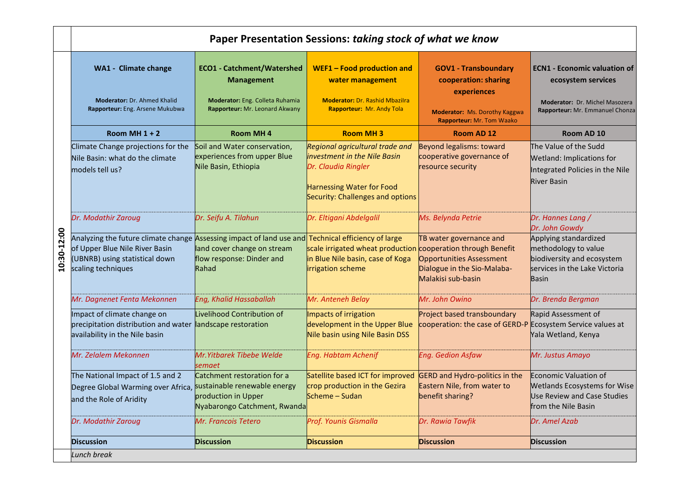|             | Paper Presentation Sessions: taking stock of what we know                                                                                                                                    |                                                                                                                             |                                                                                                                                                                |                                                                                                                 |                                                                                                                              |  |
|-------------|----------------------------------------------------------------------------------------------------------------------------------------------------------------------------------------------|-----------------------------------------------------------------------------------------------------------------------------|----------------------------------------------------------------------------------------------------------------------------------------------------------------|-----------------------------------------------------------------------------------------------------------------|------------------------------------------------------------------------------------------------------------------------------|--|
|             | <b>WA1 - Climate change</b><br><b>Moderator: Dr. Ahmed Khalid</b><br>Rapporteur: Eng. Arsene Mukubwa                                                                                         | <b>ECO1 - Catchment/Watershed</b><br><b>Management</b><br>Moderator: Eng. Colleta Ruhamia<br>Rapporteur: Mr. Leonard Akwany | WEF1 - Food production and<br>water management<br><b>Moderator: Dr. Rashid Mbazilra</b><br>Rapporteur: Mr. Andy Tola                                           | <b>GOV1 - Transboundary</b><br>cooperation: sharing<br>experiences                                              | <b>ECN1 - Economic valuation of</b><br>ecosystem services<br>Moderator: Dr. Michel Masozera                                  |  |
|             |                                                                                                                                                                                              |                                                                                                                             |                                                                                                                                                                | <b>Moderator:</b> Ms. Dorothy Kaggwa<br>Rapporteur: Mr. Tom Waako                                               | Rapporteur: Mr. Emmanuel Chonza                                                                                              |  |
|             | Room MH $1 + 2$                                                                                                                                                                              | <b>Room MH4</b>                                                                                                             | <b>Room MH3</b>                                                                                                                                                | Room AD 12                                                                                                      | Room AD 10                                                                                                                   |  |
|             | Climate Change projections for the<br>Nile Basin: what do the climate<br>models tell us?                                                                                                     | Soil and Water conservation,<br>experiences from upper Blue<br>Nile Basin, Ethiopia                                         | Regional agricultural trade and<br>investment in the Nile Basin<br>Dr. Claudia Ringler<br><b>Harnessing Water for Food</b><br>Security: Challenges and options | Beyond legalisms: toward<br>cooperative governance of<br>resource security                                      | The Value of the Sudd<br>Wetland: Implications for<br>Integrated Policies in the Nile<br><b>River Basin</b>                  |  |
|             | Dr. Modathir Zaroug                                                                                                                                                                          | Dr. Seifu A. Tilahun                                                                                                        | Dr. Eltigani Abdelgalil                                                                                                                                        | Ms. Belynda Petrie                                                                                              | Dr. Hannes Lang /<br>Dr. John Gowdy                                                                                          |  |
| 10:30-12:00 | Analyzing the future climate change Assessing impact of land use and Technical efficiency of large<br>of Upper Blue Nile River Basin<br>(UBNRB) using statistical down<br>scaling techniques | land cover change on stream<br>flow response: Dinder and<br>Rahad                                                           | scale irrigated wheat production cooperation through Benefit<br>in Blue Nile basin, case of Koga<br>irrigation scheme                                          | TB water governance and<br><b>Opportunities Assessment</b><br>Dialogue in the Sio-Malaba-<br>Malakisi sub-basin | Applying standardized<br>methodology to value<br>biodiversity and ecosystem<br>services in the Lake Victoria<br><b>Basin</b> |  |
|             | Mr. Dagnenet Fenta Mekonnen                                                                                                                                                                  | Eng, Khalid Hassaballah                                                                                                     | Mr. Anteneh Belay                                                                                                                                              | Mr. John Owino                                                                                                  | Dr. Brenda Bergman                                                                                                           |  |
|             | Impact of climate change on<br>precipitation distribution and water landscape restoration<br>availability in the Nile basin                                                                  | Livelihood Contribution of                                                                                                  | Impacts of irrigation<br>development in the Upper Blue<br>Nile basin using Nile Basin DSS                                                                      | Project based transboundary<br>cooperation: the case of GERD-P Ecosystem Service values at                      | Rapid Assessment of<br>Yala Wetland, Kenya                                                                                   |  |
|             | Mr. Zelalem Mekonnen                                                                                                                                                                         | Mr. Yitbarek Tibebe Welde<br>semaet                                                                                         | <b>Eng. Habtam Achenif</b>                                                                                                                                     | <b>Eng. Gedion Asfaw</b>                                                                                        | Mr. Justus Amayo                                                                                                             |  |
|             | The National Impact of 1.5 and 2<br>Degree Global Warming over Africa, <b>sustainable renewable energy</b><br>and the Role of Aridity                                                        | Catchment restoration for a<br>production in Upper<br>Nyabarongo Catchment, Rwanda                                          | Satellite based ICT for improved<br>crop production in the Gezira<br>Scheme - Sudan                                                                            | <b>GERD and Hydro-politics in the</b><br>Eastern Nile, from water to<br>benefit sharing?                        | Economic Valuation of<br><b>Wetlands Ecosystems for Wise</b><br>Use Review and Case Studies<br>from the Nile Basin           |  |
|             | Dr. Modathir Zaroug                                                                                                                                                                          | Mr. Francois Tetero                                                                                                         | Prof. Younis Gismalla                                                                                                                                          | Dr. Rawia Tawfik                                                                                                | Dr. Amel Azab                                                                                                                |  |
|             | <b>Discussion</b>                                                                                                                                                                            | <b>Discussion</b>                                                                                                           | <b>Discussion</b>                                                                                                                                              | <b>Discussion</b>                                                                                               | <b>Discussion</b>                                                                                                            |  |
|             | Lunch break                                                                                                                                                                                  |                                                                                                                             |                                                                                                                                                                |                                                                                                                 |                                                                                                                              |  |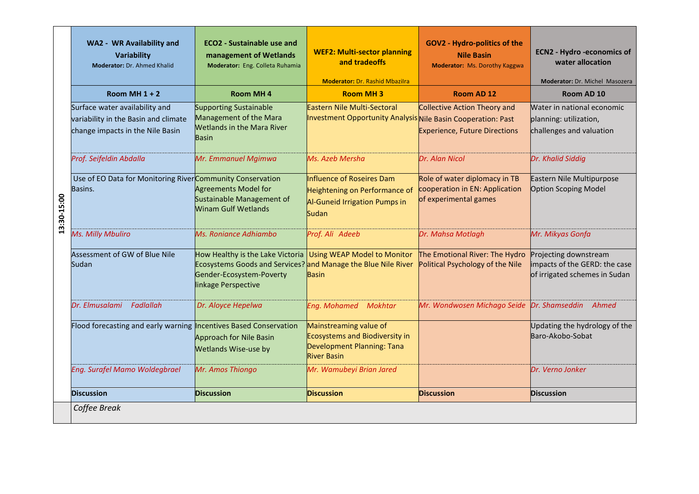|             | WA2 - WR Availability and<br>Variability<br>Moderator: Dr. Ahmed Khalid                                    | <b>ECO2</b> - Sustainable use and<br>management of Wetlands<br>Moderator: Eng. Colleta Ruhamia                                                       | <b>WEF2: Multi-sector planning</b><br>and tradeoffs<br><b>Moderator: Dr. Rashid Mbazilra</b>                        | <b>GOV2 - Hydro-politics of the</b><br><b>Nile Basin</b><br><b>Moderator: Ms. Dorothy Kaggwa</b> | <b>ECN2 - Hydro -economics of</b><br>water allocation<br>Moderator: Dr. Michel Masozera |
|-------------|------------------------------------------------------------------------------------------------------------|------------------------------------------------------------------------------------------------------------------------------------------------------|---------------------------------------------------------------------------------------------------------------------|--------------------------------------------------------------------------------------------------|-----------------------------------------------------------------------------------------|
|             | Room MH $1 + 2$                                                                                            | <b>Room MH4</b>                                                                                                                                      | <b>Room MH3</b>                                                                                                     | Room AD 12                                                                                       | Room AD 10                                                                              |
|             | Surface water availability and<br>variability in the Basin and climate<br>change impacts in the Nile Basin | <b>Supporting Sustainable</b><br>Management of the Mara<br><b>Wetlands in the Mara River</b><br><b>Basin</b>                                         | Eastern Nile Multi-Sectoral<br>Investment Opportunity Analysis Nile Basin Cooperation: Past                         | <b>Collective Action Theory and</b><br><b>Experience, Future Directions</b>                      | Water in national economic<br>planning: utilization,<br>challenges and valuation        |
|             | Prof. Seifeldin Abdalla                                                                                    | Mr. Emmanuel Mgimwa                                                                                                                                  | Ms. Azeb Mersha                                                                                                     | Dr. Alan Nicol                                                                                   | Dr. Khalid Siddig                                                                       |
| 13:30-15:00 | Use of EO Data for Monitoring RiverCommunity Conservation<br>Basins.                                       | <b>Agreements Model for</b><br>Sustainable Management of<br><b>Winam Gulf Wetlands</b>                                                               | Influence of Roseires Dam<br>Heightening on Performance of<br>Al-Guneid Irrigation Pumps in<br>Sudan                | Role of water diplomacy in TB<br>cooperation in EN: Application<br>of experimental games         | Eastern Nile Multipurpose<br>Option Scoping Model                                       |
|             | Ms. Milly Mbuliro                                                                                          | Ms. Roniance Adhiambo                                                                                                                                | Prof. Ali Adeeb                                                                                                     | Dr. Mahsa Motlagh                                                                                | Mr. Mikyas Gonfa                                                                        |
|             | Assessment of GW of Blue Nile<br>Sudan                                                                     | How Healthy is the Lake Victoria<br>Ecosystems Goods and Services? and Manage the Blue Nile River<br>Gender-Ecosystem-Poverty<br>linkage Perspective | <b>Using WEAP Model to Monitor</b><br><b>Basin</b>                                                                  | The Emotional River: The Hydro<br>Political Psychology of the Nile                               | Projecting downstream<br>impacts of the GERD: the case<br>of irrigated schemes in Sudan |
|             | Dr. Elmusalami<br>Fadlallah                                                                                | Dr. Aloyce Hepelwa                                                                                                                                   | Mokhtar<br><b>Eng. Mohamed</b>                                                                                      | Mr. Wondwosen Michago Seide Dr. Shamseddin                                                       | Ahmed                                                                                   |
|             | Flood forecasting and early warning <b>Incentives Based Conservation</b>                                   | <b>Approach for Nile Basin</b><br><b>Wetlands Wise-use by</b>                                                                                        | Mainstreaming value of<br><b>Ecosystems and Biodiversity in</b><br>Development Planning: Tana<br><b>River Basin</b> |                                                                                                  | Updating the hydrology of the<br>Baro-Akobo-Sobat                                       |
|             | Eng. Surafel Mamo Woldegbrael                                                                              | Mr. Amos Thiongo                                                                                                                                     | Mr. Wamubeyi Brian Jared                                                                                            |                                                                                                  | Dr. Verno Jonker                                                                        |
|             | <b>Discussion</b>                                                                                          | <b>Discussion</b>                                                                                                                                    | <b>Discussion</b>                                                                                                   | <b>Discussion</b>                                                                                | <b>Discussion</b>                                                                       |
|             | Coffee Break                                                                                               |                                                                                                                                                      |                                                                                                                     |                                                                                                  |                                                                                         |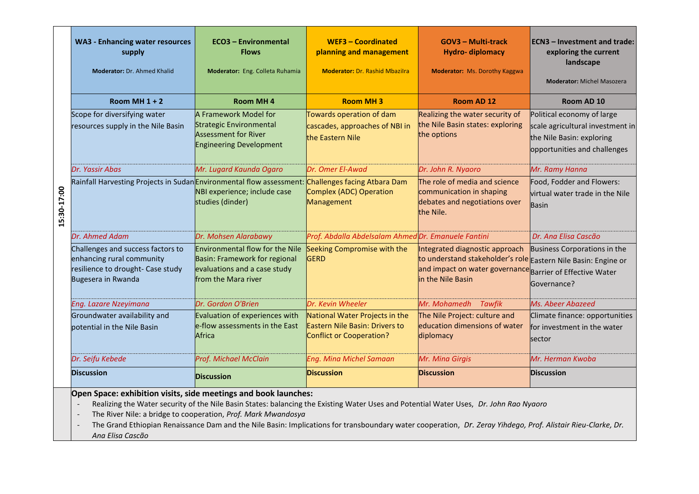|            | <b>WA3 - Enhancing water resources</b><br>supply<br>Moderator: Dr. Ahmed Khalid                                                                                                                                                                                                                                                                                                                                                                                                            | <b>ECO3 - Environmental</b><br><b>Flows</b><br>Moderator: Eng. Colleta Ruhamia                                                 | <b>WEF3 - Coordinated</b><br>planning and management<br><b>Moderator: Dr. Rashid Mbazilra</b>       | <b>GOV3 - Multi-track</b><br><b>Hydro-diplomacy</b><br><b>Moderator:</b> Ms. Dorothy Kaggwa                                                                                        | <b>ECN3</b> - Investment and trade:<br>exploring the current<br>landscape<br><b>Moderator: Michel Masozera</b>              |
|------------|--------------------------------------------------------------------------------------------------------------------------------------------------------------------------------------------------------------------------------------------------------------------------------------------------------------------------------------------------------------------------------------------------------------------------------------------------------------------------------------------|--------------------------------------------------------------------------------------------------------------------------------|-----------------------------------------------------------------------------------------------------|------------------------------------------------------------------------------------------------------------------------------------------------------------------------------------|-----------------------------------------------------------------------------------------------------------------------------|
|            | Room MH $1 + 2$                                                                                                                                                                                                                                                                                                                                                                                                                                                                            | <b>Room MH4</b>                                                                                                                | <b>Room MH3</b>                                                                                     | Room AD 12                                                                                                                                                                         | Room AD 10                                                                                                                  |
|            | Scope for diversifying water<br>resources supply in the Nile Basin                                                                                                                                                                                                                                                                                                                                                                                                                         | A Framework Model for<br>Strategic Environmental<br><b>Assessment for River</b><br><b>Engineering Development</b>              | Towards operation of dam<br>cascades, approaches of NBI in<br>the Eastern Nile                      | Realizing the water security of<br>the Nile Basin states: exploring<br>the options                                                                                                 | Political economy of large<br>scale agricultural investment in<br>the Nile Basin: exploring<br>opportunities and challenges |
|            | Dr. Yassir Abas                                                                                                                                                                                                                                                                                                                                                                                                                                                                            | Mr. Lugard Kaunda Ogaro                                                                                                        | Dr. Omer El-Awad                                                                                    | Dr. John R. Nyaoro                                                                                                                                                                 | Mr. Ramy Hanna                                                                                                              |
| 5:30-17:00 | Rainfall Harvesting Projects in SudanEnvironmental flow assessment:                                                                                                                                                                                                                                                                                                                                                                                                                        | NBI experience; include case<br>studies (dinder)                                                                               | Challenges facing Atbara Dam<br><b>Complex (ADC) Operation</b><br>Management                        | The role of media and science<br>communication in shaping<br>debates and negotiations over<br>the Nile.                                                                            | Food, Fodder and Flowers:<br>virtual water trade in the Nile<br><b>Basin</b>                                                |
|            | Dr. Ahmed Adam                                                                                                                                                                                                                                                                                                                                                                                                                                                                             | Dr. Mohsen Alarabawy                                                                                                           | Prof. Abdalla Abdelsalam Ahmed Dr. Emanuele Fantini                                                 |                                                                                                                                                                                    | Dr. Ana Elisa Cascão                                                                                                        |
|            | Challenges and success factors to<br>enhancing rural community<br>resilience to drought- Case study<br>Bugesera in Rwanda                                                                                                                                                                                                                                                                                                                                                                  | <b>Environmental flow for the Nile</b><br>Basin: Framework for regional<br>evaluations and a case study<br>from the Mara river | Seeking Compromise with the<br><b>GERD</b>                                                          | Integrated diagnostic approach<br>to understand stakeholder's role Eastern Nile Basin: Engine or<br>and impact on water governance Barrier of Effective Water<br>in the Nile Basin | Business Corporations in the<br>Governance?                                                                                 |
|            | Eng. Lazare Nzeyimana                                                                                                                                                                                                                                                                                                                                                                                                                                                                      | Dr. Gordon O'Brien                                                                                                             | Dr. Kevin Wheeler                                                                                   | Mr. Mohamedh<br><b>Tawfik</b>                                                                                                                                                      | Ms. Abeer Abazeed                                                                                                           |
|            | Groundwater availability and<br>potential in the Nile Basin                                                                                                                                                                                                                                                                                                                                                                                                                                | Evaluation of experiences with<br>e-flow assessments in the East<br>Africa                                                     | National Water Projects in the<br>Eastern Nile Basin: Drivers to<br><b>Conflict or Cooperation?</b> | The Nile Project: culture and<br>education dimensions of water<br>diplomacy                                                                                                        | Climate finance: opportunities<br>for investment in the water<br>sector                                                     |
|            | Dr. Seifu Kebede                                                                                                                                                                                                                                                                                                                                                                                                                                                                           | Prof. Michael McClain                                                                                                          | <b>Eng. Mina Michel Samaan</b>                                                                      | Mr. Mina Girgis                                                                                                                                                                    | Mr. Herman Kwoba                                                                                                            |
|            | <b>Discussion</b>                                                                                                                                                                                                                                                                                                                                                                                                                                                                          | <b>Discussion</b>                                                                                                              | <b>Discussion</b>                                                                                   | <b>Discussion</b>                                                                                                                                                                  | <b>Discussion</b>                                                                                                           |
|            | Open Space: exhibition visits, side meetings and book launches:<br>Realizing the Water security of the Nile Basin States: balancing the Existing Water Uses and Potential Water Uses, Dr. John Rao Nyaoro<br>The River Nile: a bridge to cooperation, Prof. Mark Mwandosya<br>$\overline{\phantom{a}}$<br>The Grand Ethiopian Renaissance Dam and the Nile Basin: Implications for transboundary water cooperation, Dr. Zeray Yihdego, Prof. Alistair Rieu-Clarke, Dr.<br>Ana Elisa Cascão |                                                                                                                                |                                                                                                     |                                                                                                                                                                                    |                                                                                                                             |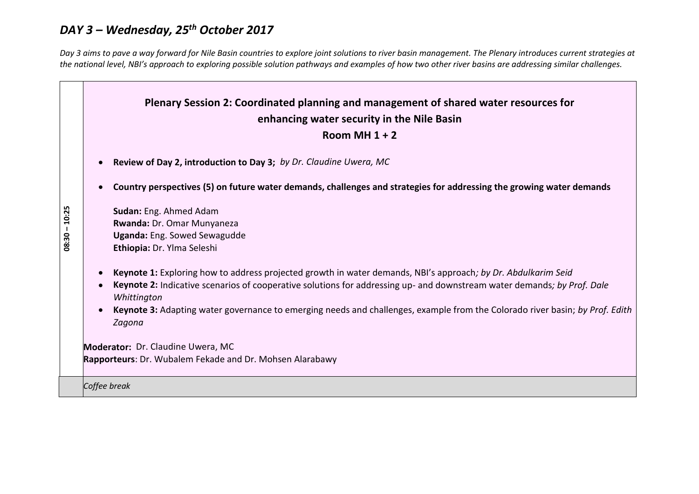# *DAY 3 – Wednesday, 25th October 2017*

*Day 3 aims to pave a way forward for Nile Basin countries to explore joint solutions to river basin management. The Plenary introduces current strategies at the national level, NBI's approach to exploring possible solution pathways and examples of how two other river basins are addressing similar challenges.*

|                 | Plenary Session 2: Coordinated planning and management of shared water resources for<br>enhancing water security in the Nile Basin<br>Room MH $1 + 2$                                                                                                                                                                                                                                             |  |  |  |  |  |  |
|-----------------|---------------------------------------------------------------------------------------------------------------------------------------------------------------------------------------------------------------------------------------------------------------------------------------------------------------------------------------------------------------------------------------------------|--|--|--|--|--|--|
|                 | Review of Day 2, introduction to Day 3; by Dr. Claudine Uwera, MC                                                                                                                                                                                                                                                                                                                                 |  |  |  |  |  |  |
|                 | Country perspectives (5) on future water demands, challenges and strategies for addressing the growing water demands                                                                                                                                                                                                                                                                              |  |  |  |  |  |  |
| $08:30 - 10:25$ | Sudan: Eng. Ahmed Adam<br>Rwanda: Dr. Omar Munyaneza<br>Uganda: Eng. Sowed Sewagudde<br>Ethiopia: Dr. Ylma Seleshi                                                                                                                                                                                                                                                                                |  |  |  |  |  |  |
|                 | Keynote 1: Exploring how to address projected growth in water demands, NBI's approach; by Dr. Abdulkarim Seid<br>Keynote 2: Indicative scenarios of cooperative solutions for addressing up- and downstream water demands; by Prof. Dale<br>Whittington<br>Keynote 3: Adapting water governance to emerging needs and challenges, example from the Colorado river basin; by Prof. Edith<br>Zagona |  |  |  |  |  |  |
|                 | <b>Moderator: Dr. Claudine Uwera, MC</b><br>Rapporteurs: Dr. Wubalem Fekade and Dr. Mohsen Alarabawy                                                                                                                                                                                                                                                                                              |  |  |  |  |  |  |
|                 | Coffee break                                                                                                                                                                                                                                                                                                                                                                                      |  |  |  |  |  |  |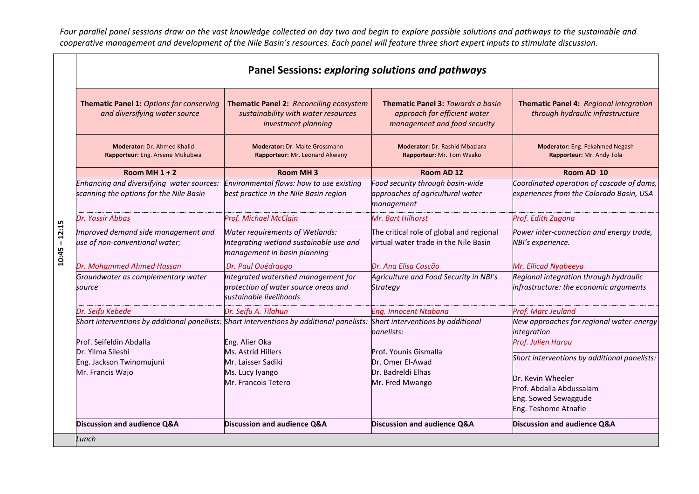*Four parallel panel sessions draw on the vast knowledge collected on day two and begin to explore possible solutions and pathways to the sustainable and*  cooperative management and development of the Nile Basin's resources. Each panel will feature three short expert inputs to stimulate discussion.

|                 |                                                                                      | <b>Panel Sessions: exploring solutions and pathways</b>                                                                                                              |                                                                                                          |                                                                                                                                               |
|-----------------|--------------------------------------------------------------------------------------|----------------------------------------------------------------------------------------------------------------------------------------------------------------------|----------------------------------------------------------------------------------------------------------|-----------------------------------------------------------------------------------------------------------------------------------------------|
|                 | Thematic Panel 1: Options for conserving<br>and diversifying water source            | Thematic Panel 2: Reconciling ecosystem<br>sustainability with water resources<br>investment planning                                                                | <b>Thematic Panel 3: Towards a basin</b><br>approach for efficient water<br>management and food security | Thematic Panel 4: Regional integration<br>through hydraulic infrastructure                                                                    |
|                 | <b>Moderator: Dr. Ahmed Khalid</b><br>Rapporteur: Eng. Arsene Mukubwa                | <b>Moderator: Dr. Malte Grossmann</b><br>Rapporteur: Mr. Leonard Akwany                                                                                              | <b>Moderator: Dr. Rashid Mbaziara</b><br>Rapporteur: Mr. Tom Waako                                       | Moderator: Eng. Fekahmed Negash<br>Rapporteur: Mr. Andy Tola                                                                                  |
|                 | Room MH $1 + 2$                                                                      | Room MH <sub>3</sub>                                                                                                                                                 | Room AD 12                                                                                               | Room AD 10                                                                                                                                    |
|                 | Enhancing and diversifying water sources:<br>scanning the options for the Nile Basin | Environmental flows: how to use existing<br>best practice in the Nile Basin region                                                                                   | Food security through basin-wide<br>approaches of agricultural water<br>management                       | Coordinated operation of cascade of dams,<br>experiences from the Colorado Basin, USA                                                         |
|                 | Dr. Yassir Abbas                                                                     | <b>Prof. Michael McClain</b>                                                                                                                                         | Mr. Bart Hilhorst                                                                                        | Prof. Edith Zagona                                                                                                                            |
| $10:45 - 12:15$ | Improved demand side management and<br>use of non-conventional water;                | Water requirements of Wetlands:<br>Integrating wetland sustainable use and<br>management in basin planning                                                           | The critical role of global and regional<br>virtual water trade in the Nile Basin                        | Power inter-connection and energy trade,<br>NBI's experience.                                                                                 |
|                 | Dr. Mohammed Ahmed Hassan                                                            | Dr. Paul Ouédraogo                                                                                                                                                   | Dr. Ana Elisa Cascão                                                                                     | Mr. Ellicad Nyabeeya                                                                                                                          |
|                 | Groundwater as complementary water<br>source                                         | Integrated watershed management for<br>protection of water source areas and<br>sustainable livelihoods                                                               | Agriculture and Food Security in NBI's<br><b>Strategy</b>                                                | Regional integration through hydraulic<br>infrastructure: the economic arguments                                                              |
|                 | Dr. Seifu Kebede                                                                     | Dr. Seifu A. Tilahun                                                                                                                                                 | <b>Eng. Innocent Ntabana</b>                                                                             | Prof. Marc Jeuland                                                                                                                            |
|                 | Prof. Seifeldin Abdalla<br>Dr. Yilma Sileshi                                         | Short interventions by additional panellists: Short interventions by additional panelists: Short interventions by additional<br>Eng. Alier Oka<br>Ms. Astrid Hillers | panelists:<br>Prof. Younis Gismalla                                                                      | New approaches for regional water-energy<br>integration<br>Prof. Julien Harou                                                                 |
|                 | Eng. Jackson Twinomujuni<br>Mr. Francis Wajo                                         | Mr. Laisser Sadiki<br>Ms. Lucy Iyango<br>Mr. Francois Tetero                                                                                                         | Dr. Omer El-Awad<br>Dr. Badreldi Elhas<br>Mr. Fred Mwango                                                | Short interventions by additional panelists:<br>Dr. Kevin Wheeler<br>Prof. Abdalla Abdussalam<br>Eng. Sowed Sewaggude<br>Eng. Teshome Atnafie |
|                 | Discussion and audience Q&A                                                          | Discussion and audience Q&A                                                                                                                                          | Discussion and audience Q&A                                                                              | Discussion and audience Q&A                                                                                                                   |
|                 | Lunch                                                                                |                                                                                                                                                                      |                                                                                                          |                                                                                                                                               |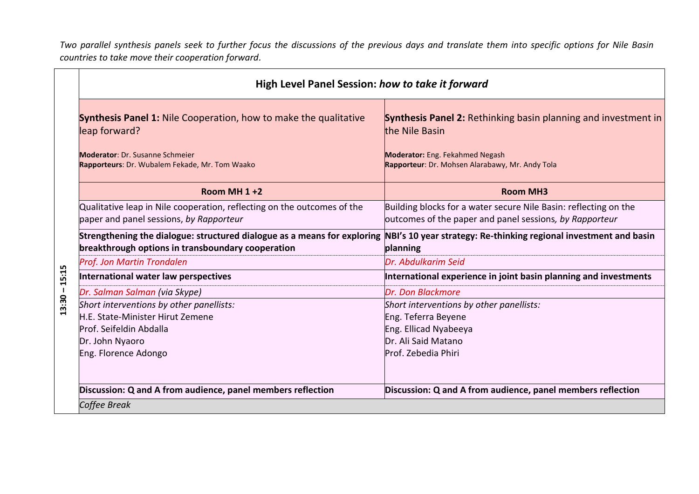*Two parallel synthesis panels seek to further focus the discussions of the previous days and translate them into specific options for Nile Basin countries to take move their cooperation forward.*

| High Level Panel Session: how to take it forward                                                                                                                                                |                                                                                                                                                                                      |
|-------------------------------------------------------------------------------------------------------------------------------------------------------------------------------------------------|--------------------------------------------------------------------------------------------------------------------------------------------------------------------------------------|
| <b>Synthesis Panel 1:</b> Nile Cooperation, how to make the qualitative<br>leap forward?<br><b>Moderator: Dr. Susanne Schmeier</b><br>Rapporteurs: Dr. Wubalem Fekade, Mr. Tom Waako            | <b>Synthesis Panel 2:</b> Rethinking basin planning and investment in<br>the Nile Basin<br><b>Moderator:</b> Eng. Fekahmed Negash<br>Rapporteur: Dr. Mohsen Alarabawy, Mr. Andy Tola |
| Room MH $1+2$                                                                                                                                                                                   | <b>Room MH3</b>                                                                                                                                                                      |
| Qualitative leap in Nile cooperation, reflecting on the outcomes of the<br>paper and panel sessions, by Rapporteur                                                                              | Building blocks for a water secure Nile Basin: reflecting on the<br>outcomes of the paper and panel sessions, by Rapporteur                                                          |
| Strengthening the dialogue: structured dialogue as a means for exploring NBI's 10 year strategy: Re-thinking regional investment and basin<br>breakthrough options in transboundary cooperation | planning                                                                                                                                                                             |
| Prof. Jon Martin Trondalen                                                                                                                                                                      | Dr. Abdulkarim Seid                                                                                                                                                                  |
| 15:15<br>International water law perspectives                                                                                                                                                   | International experience in joint basin planning and investments                                                                                                                     |
| $13:30 -$<br>Dr. Salman Salman (via Skype)                                                                                                                                                      | Dr. Don Blackmore                                                                                                                                                                    |
| Short interventions by other panellists:                                                                                                                                                        | Short interventions by other panellists:                                                                                                                                             |
| H.E. State-Minister Hirut Zemene                                                                                                                                                                | Eng. Teferra Beyene                                                                                                                                                                  |
| Prof. Seifeldin Abdalla                                                                                                                                                                         | Eng. Ellicad Nyabeeya                                                                                                                                                                |
| Dr. John Nyaoro                                                                                                                                                                                 | Dr. Ali Said Matano                                                                                                                                                                  |
| Eng. Florence Adongo                                                                                                                                                                            | Prof. Zebedia Phiri                                                                                                                                                                  |
| Discussion: Q and A from audience, panel members reflection                                                                                                                                     | Discussion: Q and A from audience, panel members reflection                                                                                                                          |
| Coffee Break                                                                                                                                                                                    |                                                                                                                                                                                      |